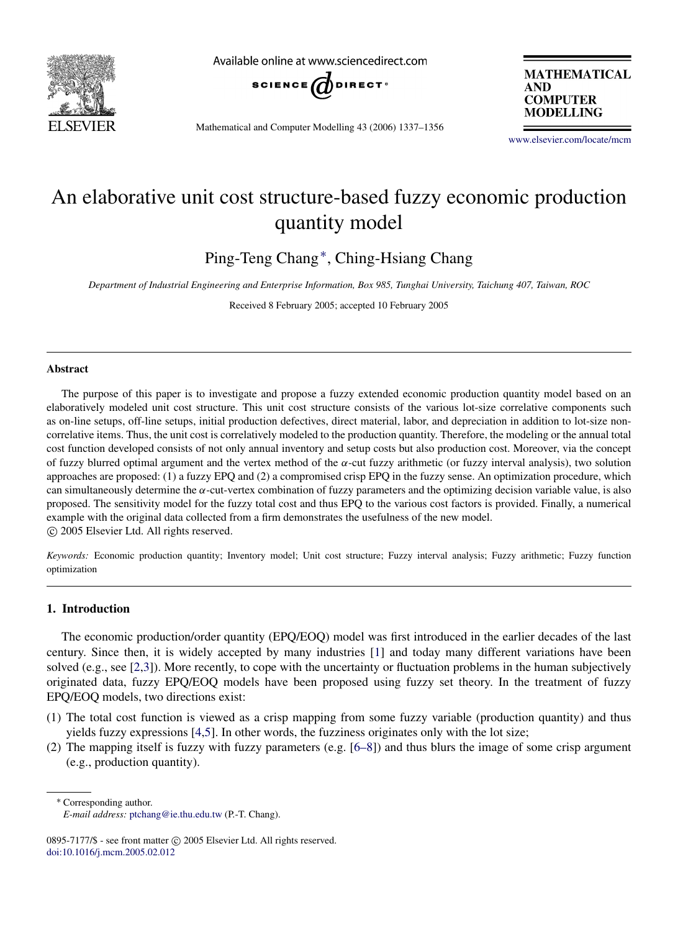

Available online at www.sciencedirect.com



Mathematical and Computer Modelling 43 (2006) 1337–1356

**MATHEMATICAL AND COMPUTER MODELLING** 

[www.elsevier.com/locate/mcm](http://www.elsevier.com/locate/mcm)

# An elaborative unit cost structure-based fuzzy economic production quantity model

Ping-Teng Chang[∗](#page-0-0) , Ching-Hsiang Chang

*Department of Industrial Engineering and Enterprise Information, Box 985, Tunghai University, Taichung 407, Taiwan, ROC*

Received 8 February 2005; accepted 10 February 2005

#### Abstract

The purpose of this paper is to investigate and propose a fuzzy extended economic production quantity model based on an elaboratively modeled unit cost structure. This unit cost structure consists of the various lot-size correlative components such as on-line setups, off-line setups, initial production defectives, direct material, labor, and depreciation in addition to lot-size noncorrelative items. Thus, the unit cost is correlatively modeled to the production quantity. Therefore, the modeling or the annual total cost function developed consists of not only annual inventory and setup costs but also production cost. Moreover, via the concept of fuzzy blurred optimal argument and the vertex method of the  $\alpha$ -cut fuzzy arithmetic (or fuzzy interval analysis), two solution approaches are proposed: (1) a fuzzy EPQ and (2) a compromised crisp EPQ in the fuzzy sense. An optimization procedure, which can simultaneously determine the  $\alpha$ -cut-vertex combination of fuzzy parameters and the optimizing decision variable value, is also proposed. The sensitivity model for the fuzzy total cost and thus EPQ to the various cost factors is provided. Finally, a numerical example with the original data collected from a firm demonstrates the usefulness of the new model. c 2005 Elsevier Ltd. All rights reserved.

*Keywords:* Economic production quantity; Inventory model; Unit cost structure; Fuzzy interval analysis; Fuzzy arithmetic; Fuzzy function optimization

### 1. Introduction

The economic production/order quantity (EPQ/EOQ) model was first introduced in the earlier decades of the last century. Since then, it is widely accepted by many industries [\[1\]](#page--1-0) and today many different variations have been solved (e.g., see [\[2](#page--1-1)[,3\]](#page--1-2)). More recently, to cope with the uncertainty or fluctuation problems in the human subjectively originated data, fuzzy EPQ/EOQ models have been proposed using fuzzy set theory. In the treatment of fuzzy EPQ/EOQ models, two directions exist:

- (1) The total cost function is viewed as a crisp mapping from some fuzzy variable (production quantity) and thus yields fuzzy expressions [\[4](#page--1-3)[,5\]](#page--1-4). In other words, the fuzziness originates only with the lot size;
- (2) The mapping itself is fuzzy with fuzzy parameters (e.g. [\[6–8\]](#page--1-5)) and thus blurs the image of some crisp argument (e.g., production quantity).

<span id="page-0-0"></span><sup>∗</sup> Corresponding author.

*E-mail address:* [ptchang@ie.thu.edu.tw](mailto:ptchang@ie.thu.edu.tw) (P.-T. Chang).

<sup>0895-7177/\$ -</sup> see front matter © 2005 Elsevier Ltd. All rights reserved. [doi:10.1016/j.mcm.2005.02.012](http://dx.doi.org/10.1016/j.mcm.2005.02.012)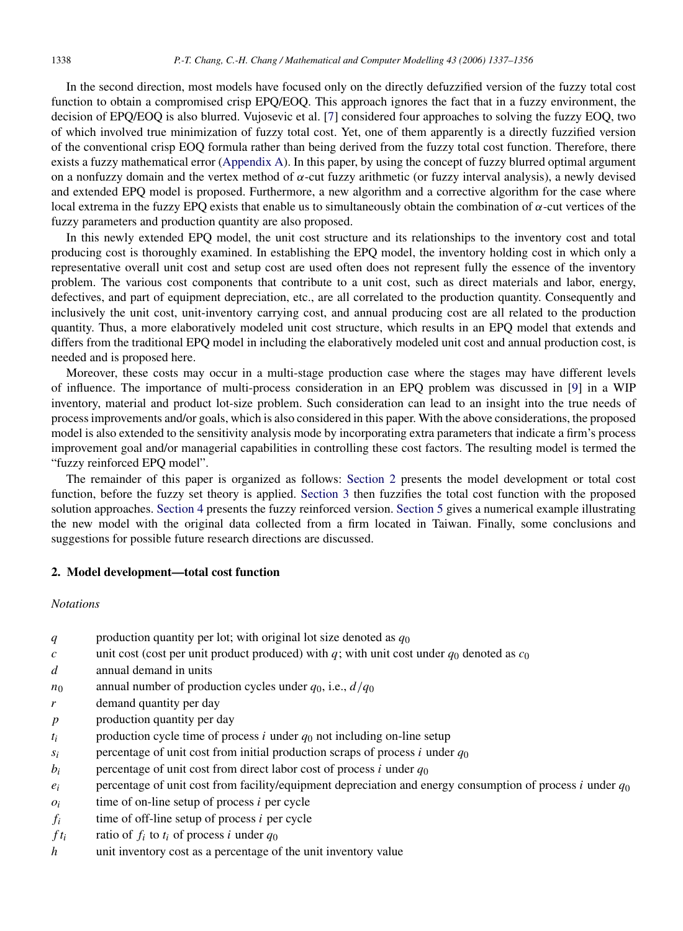In the second direction, most models have focused only on the directly defuzzified version of the fuzzy total cost function to obtain a compromised crisp EPQ/EOQ. This approach ignores the fact that in a fuzzy environment, the decision of EPQ/EOQ is also blurred. Vujosevic et al. [\[7\]](#page--1-6) considered four approaches to solving the fuzzy EOQ, two of which involved true minimization of fuzzy total cost. Yet, one of them apparently is a directly fuzzified version of the conventional crisp EOQ formula rather than being derived from the fuzzy total cost function. Therefore, there exists a fuzzy mathematical error [\(Appendix A\)](#page--1-7). In this paper, by using the concept of fuzzy blurred optimal argument on a nonfuzzy domain and the vertex method of  $\alpha$ -cut fuzzy arithmetic (or fuzzy interval analysis), a newly devised and extended EPQ model is proposed. Furthermore, a new algorithm and a corrective algorithm for the case where local extrema in the fuzzy EPQ exists that enable us to simultaneously obtain the combination of α-cut vertices of the fuzzy parameters and production quantity are also proposed.

In this newly extended EPQ model, the unit cost structure and its relationships to the inventory cost and total producing cost is thoroughly examined. In establishing the EPQ model, the inventory holding cost in which only a representative overall unit cost and setup cost are used often does not represent fully the essence of the inventory problem. The various cost components that contribute to a unit cost, such as direct materials and labor, energy, defectives, and part of equipment depreciation, etc., are all correlated to the production quantity. Consequently and inclusively the unit cost, unit-inventory carrying cost, and annual producing cost are all related to the production quantity. Thus, a more elaboratively modeled unit cost structure, which results in an EPQ model that extends and differs from the traditional EPQ model in including the elaboratively modeled unit cost and annual production cost, is needed and is proposed here.

Moreover, these costs may occur in a multi-stage production case where the stages may have different levels of influence. The importance of multi-process consideration in an EPQ problem was discussed in [\[9\]](#page--1-8) in a WIP inventory, material and product lot-size problem. Such consideration can lead to an insight into the true needs of process improvements and/or goals, which is also considered in this paper. With the above considerations, the proposed model is also extended to the sensitivity analysis mode by incorporating extra parameters that indicate a firm's process improvement goal and/or managerial capabilities in controlling these cost factors. The resulting model is termed the "fuzzy reinforced EPQ model".

The remainder of this paper is organized as follows: [Section 2](#page-1-0) presents the model development or total cost function, before the fuzzy set theory is applied. [Section 3](#page--1-9) then fuzzifies the total cost function with the proposed solution approaches. [Section 4](#page--1-10) presents the fuzzy reinforced version. [Section 5](#page--1-11) gives a numerical example illustrating the new model with the original data collected from a firm located in Taiwan. Finally, some conclusions and suggestions for possible future research directions are discussed.

### <span id="page-1-0"></span>2. Model development—total cost function

### *Notations*

- *q* production quantity per lot; with original lot size denoted as *q*<sup>0</sup>
- *c* unit cost (cost per unit product produced) with *q*; with unit cost under  $q_0$  denoted as  $c_0$
- *d* annual demand in units
- *n*<sub>0</sub> annual number of production cycles under  $q_0$ , i.e.,  $d/q_0$
- *r* demand quantity per day
- *p* production quantity per day
- $t_i$  production cycle time of process *i* under  $q_0$  not including on-line setup
- $s_i$  percentage of unit cost from initial production scraps of process *i* under  $q_0$
- $b_i$  percentage of unit cost from direct labor cost of process *i* under  $q_0$
- *e*<sup>*i*</sup> percentage of unit cost from facility/equipment depreciation and energy consumption of process *i* under  $q_0$
- *oi* time of on-line setup of process *i* per cycle
- *fi* time of off-line setup of process *i* per cycle
- $f t_i$  ratio of  $f_i$  to  $t_i$  of process *i* under  $q_0$
- *h* unit inventory cost as a percentage of the unit inventory value